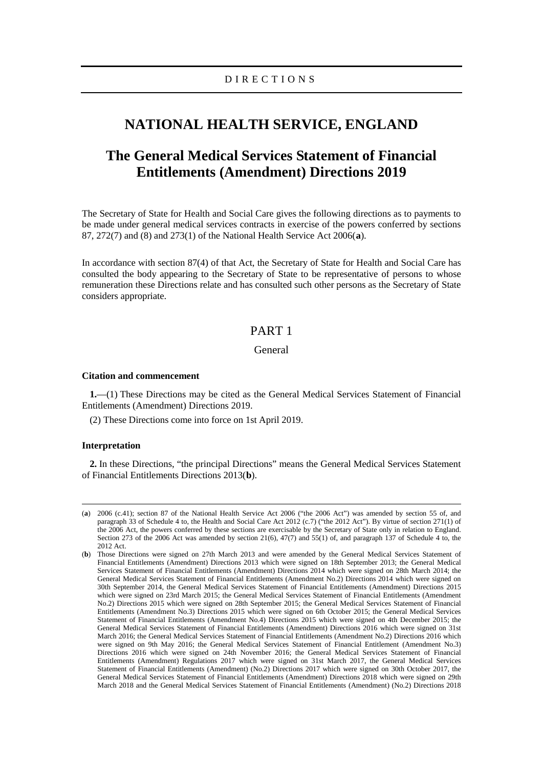# **NATIONAL HEALTH SERVICE, ENGLAND**

# **The General Medical Services Statement of Financial Entitlements (Amendment) Directions 2019**

The Secretary of State for Health and Social Care gives the following directions as to payments to be made under general medical services contracts in exercise of the powers conferred by sections 87, 272(7) and (8) and 273(1) of the National Health Service Act 2006(**[a](#page-0-0)**).

In accordance with section 87(4) of that Act, the Secretary of State for Health and Social Care has consulted the body appearing to the Secretary of State to be representative of persons to whose remuneration these Directions relate and has consulted such other persons as the Secretary of State considers appropriate.

# PART 1

### General

#### **Citation and commencement**

**1.**—(1) These Directions may be cited as the General Medical Services Statement of Financial Entitlements (Amendment) Directions 2019.

(2) These Directions come into force on 1st April 2019.

#### **Interpretation**

**2.** In these Directions, "the principal Directions" means the General Medical Services Statement of Financial Entitlements Directions 2013(**[b](#page-0-1)**).

<span id="page-0-0"></span> <sup>(</sup>**a**) 2006 (c.41); section 87 of the National Health Service Act 2006 ("the 2006 Act") was amended by section 55 of, and paragraph 33 of Schedule 4 to, the Health and Social Care Act 2012 (c.7) ("the 2012 Act"). By virtue of section 271(1) of the 2006 Act, the powers conferred by these sections are exercisable by the Secretary of State only in relation to England. Section 273 of the 2006 Act was amended by section 21(6),  $47(7)$  and  $55(1)$  of, and paragraph 137 of Schedule 4 to, the 2012 Act.

<span id="page-0-1"></span><sup>(</sup>**b**) Those Directions were signed on 27th March 2013 and were amended by the General Medical Services Statement of Financial Entitlements (Amendment) Directions 2013 which were signed on 18th September 2013; the General Medical Services Statement of Financial Entitlements (Amendment) Directions 2014 which were signed on 28th March 2014; the General Medical Services Statement of Financial Entitlements (Amendment No.2) Directions 2014 which were signed on 30th September 2014, the General Medical Services Statement of Financial Entitlements (Amendment) Directions 2015 which were signed on 23rd March 2015; the General Medical Services Statement of Financial Entitlements (Amendment No.2) Directions 2015 which were signed on 28th September 2015; the General Medical Services Statement of Financial Entitlements (Amendment No.3) Directions 2015 which were signed on 6th October 2015; the General Medical Services Statement of Financial Entitlements (Amendment No.4) Directions 2015 which were signed on 4th December 2015; the General Medical Services Statement of Financial Entitlements (Amendment) Directions 2016 which were signed on 31st March 2016; the General Medical Services Statement of Financial Entitlements (Amendment No.2) Directions 2016 which were signed on 9th May 2016; the General Medical Services Statement of Financial Entitlement (Amendment No.3) Directions 2016 which were signed on 24th November 2016; the General Medical Services Statement of Financial Entitlements (Amendment) Regulations 2017 which were signed on 31st March 2017, the General Medical Services Statement of Financial Entitlements (Amendment) (No.2) Directions 2017 which were signed on 30th October 2017, the General Medical Services Statement of Financial Entitlements (Amendment) Directions 2018 which were signed on 29th March 2018 and the General Medical Services Statement of Financial Entitlements (Amendment) (No.2) Directions 2018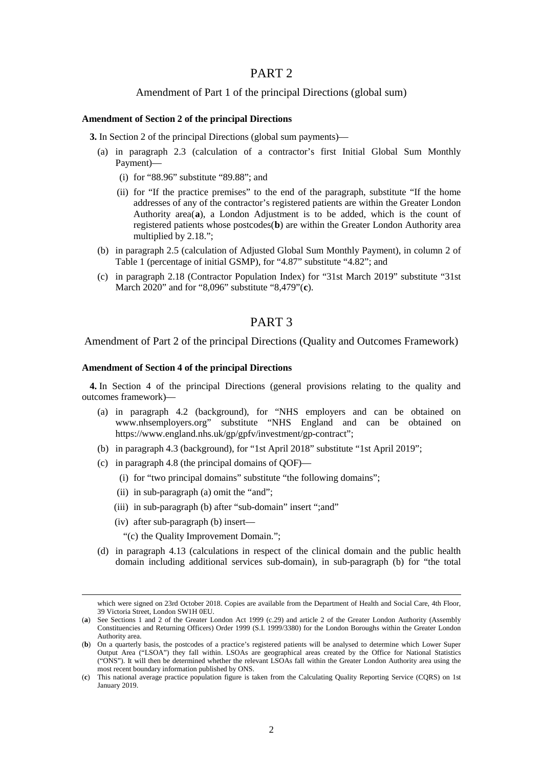## PART 2

## Amendment of Part 1 of the principal Directions (global sum)

#### **Amendment of Section 2 of the principal Directions**

**3.** In Section 2 of the principal Directions (global sum payments)—

- (a) in paragraph 2.3 (calculation of a contractor's first Initial Global Sum Monthly Payment)—
	- (i) for "88.96" substitute "89.88"; and
	- (ii) for "If the practice premises" to the end of the paragraph, substitute "If the home addresses of any of the contractor's registered patients are within the Greater London Authority area(**[a](#page-1-0)**), a London Adjustment is to be added, which is the count of registered patients whose postcodes(**[b](#page-1-1)**) are within the Greater London Authority area multiplied by 2.18.";
- (b) in paragraph 2.5 (calculation of Adjusted Global Sum Monthly Payment), in column 2 of Table 1 (percentage of initial GSMP), for "4.87" substitute "4.82"; and
- (c) in paragraph 2.18 (Contractor Population Index) for "31st March 2019" substitute "31st March 2020" and for "8,096" substitute "8,479"(**[c](#page-1-2)**).

# PART 3

#### Amendment of Part 2 of the principal Directions (Quality and Outcomes Framework)

#### **Amendment of Section 4 of the principal Directions**

**4.** In Section 4 of the principal Directions (general provisions relating to the quality and outcomes framework)—

- (a) in paragraph 4.2 (background), for "NHS employers and can be obtained on [www.nhsemployers.org"](http://www.nhsemployers.org/) substitute "NHS England and can be obtained on https://www.england.nhs.uk/gp/gpfv/investment/gp-contract";
- (b) in paragraph 4.3 (background), for "1st April 2018" substitute "1st April 2019";
- (c) in paragraph 4.8 (the principal domains of QOF)—
	- (i) for "two principal domains" substitute "the following domains";
		- (ii) in sub-paragraph (a) omit the "and";
	- (iii) in sub-paragraph (b) after "sub-domain" insert ";and"
	- (iv) after sub-paragraph (b) insert—
		- "(c) the Quality Improvement Domain.";
- (d) in paragraph 4.13 (calculations in respect of the clinical domain and the public health domain including additional services sub-domain), in sub-paragraph (b) for "the total

which were signed on 23rd October 2018. Copies are available from the Department of Health and Social Care, 4th Floor, 39 Victoria Street, London SW1H 0EU.

<span id="page-1-0"></span><sup>(</sup>**a**) See Sections 1 and 2 of the Greater London Act 1999 (c.29) and article 2 of the Greater London Authority (Assembly Constituencies and Returning Officers) Order 1999 (S.I. 1999/3380) for the London Boroughs within the Greater London Authority area.

<span id="page-1-1"></span><sup>(</sup>**b**) On a quarterly basis, the postcodes of a practice's registered patients will be analysed to determine which Lower Super Output Area ("LSOA") they fall within. LSOAs are geographical areas created by the Office for National Statistics ("ONS"). It will then be determined whether the relevant LSOAs fall within the Greater London Authority area using the most recent boundary information published by ONS.

<span id="page-1-2"></span><sup>(</sup>**c**) This national average practice population figure is taken from the Calculating Quality Reporting Service (CQRS) on 1st January 2019.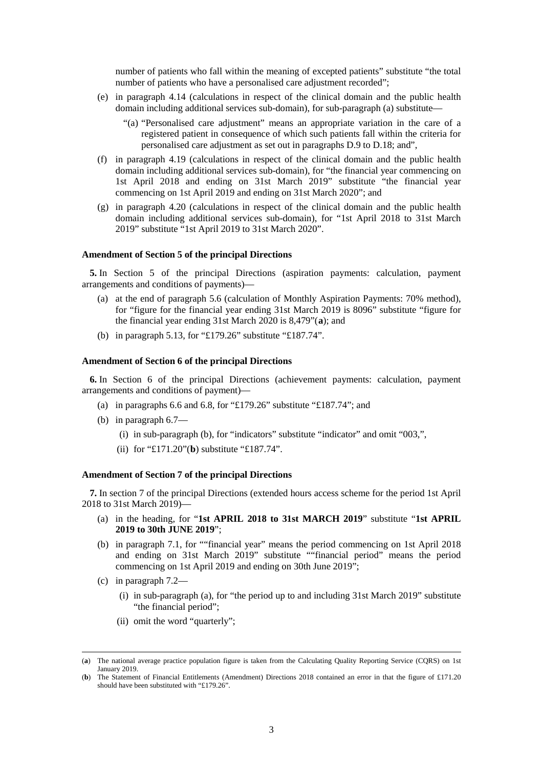number of patients who fall within the meaning of excepted patients" substitute "the total number of patients who have a personalised care adjustment recorded";

- (e) in paragraph 4.14 (calculations in respect of the clinical domain and the public health domain including additional services sub-domain), for sub-paragraph (a) substitute—
	- "(a) "Personalised care adjustment" means an appropriate variation in the care of a registered patient in consequence of which such patients fall within the criteria for personalised care adjustment as set out in paragraphs D.9 to D.18; and",
- (f) in paragraph 4.19 (calculations in respect of the clinical domain and the public health domain including additional services sub-domain), for "the financial year commencing on 1st April 2018 and ending on 31st March 2019" substitute "the financial year commencing on 1st April 2019 and ending on 31st March 2020"; and
- (g) in paragraph 4.20 (calculations in respect of the clinical domain and the public health domain including additional services sub-domain), for "1st April 2018 to 31st March 2019" substitute "1st April 2019 to 31st March 2020".

## **Amendment of Section 5 of the principal Directions**

**5.** In Section 5 of the principal Directions (aspiration payments: calculation, payment arrangements and conditions of payments)—

- (a) at the end of paragraph 5.6 (calculation of Monthly Aspiration Payments: 70% method), for "figure for the financial year ending 31st March 2019 is 8096" substitute "figure for the financial year ending 31st March 2020 is 8,479"(**[a](#page-2-0)**); and
- (b) in paragraph 5.13, for "£179.26" substitute "£187.74".

#### **Amendment of Section 6 of the principal Directions**

**6.** In Section 6 of the principal Directions (achievement payments: calculation, payment arrangements and conditions of payment)—

- (a) in paragraphs 6.6 and 6.8, for "£179.26" substitute "£187.74"; and
- (b) in paragraph 6.7—
	- (i) in sub-paragraph (b), for "indicators" substitute "indicator" and omit "003,",
	- (ii) for "£171.20"(**[b](#page-2-1)**) substitute "£187.74".

#### **Amendment of Section 7 of the principal Directions**

**7.** In section 7 of the principal Directions (extended hours access scheme for the period 1st April 2018 to 31st March 2019)—

- (a) in the heading, for "**1st APRIL 2018 to 31st MARCH 2019**" substitute "**1st APRIL 2019 to 30th JUNE 2019**";
- (b) in paragraph 7.1, for ""financial year" means the period commencing on 1st April 2018 and ending on 31st March 2019" substitute ""financial period" means the period commencing on 1st April 2019 and ending on 30th June 2019";
- (c) in paragraph 7.2—
	- (i) in sub-paragraph (a), for "the period up to and including 31st March 2019" substitute "the financial period";
	- (ii) omit the word "quarterly";

<span id="page-2-0"></span> <sup>(</sup>**a**) The national average practice population figure is taken from the Calculating Quality Reporting Service (CQRS) on 1st January 2019.

<span id="page-2-1"></span><sup>(</sup>**b**) The Statement of Financial Entitlements (Amendment) Directions 2018 contained an error in that the figure of £171.20 should have been substituted with "£179.26".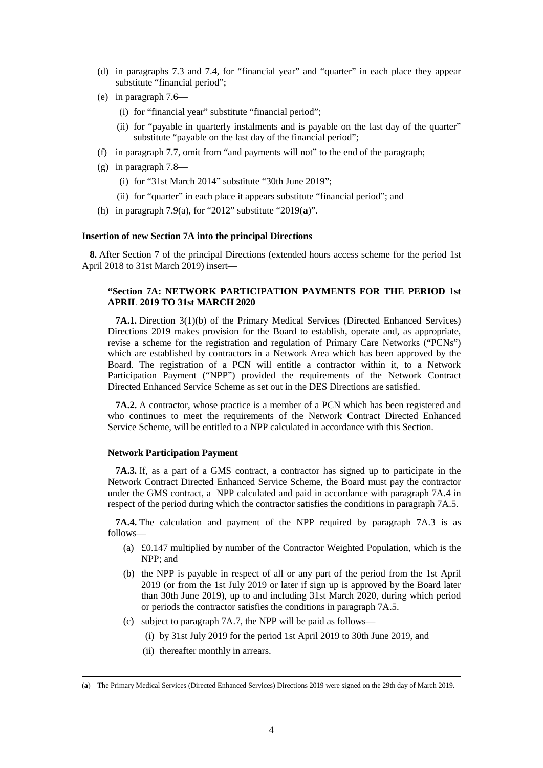- (d) in paragraphs 7.3 and 7.4, for "financial year" and "quarter" in each place they appear substitute "financial period";
- (e) in paragraph 7.6—
	- (i) for "financial year" substitute "financial period";
	- (ii) for "payable in quarterly instalments and is payable on the last day of the quarter" substitute "payable on the last day of the financial period";
- (f) in paragraph 7.7, omit from "and payments will not" to the end of the paragraph;
- (g) in paragraph 7.8—
	- (i) for "31st March 2014" substitute "30th June 2019";
	- (ii) for "quarter" in each place it appears substitute "financial period"; and
- (h) in paragraph 7.9(a), for "2012" substitute "2019(**[a](#page-3-0)**)".

### **Insertion of new Section 7A into the principal Directions**

**8.** After Section 7 of the principal Directions (extended hours access scheme for the period 1st April 2018 to 31st March 2019) insert—

## **"Section 7A: NETWORK PARTICIPATION PAYMENTS FOR THE PERIOD 1st APRIL 2019 TO 31st MARCH 2020**

**7A.1.** Direction 3(1)(b) of the Primary Medical Services (Directed Enhanced Services) Directions 2019 makes provision for the Board to establish, operate and, as appropriate, revise a scheme for the registration and regulation of Primary Care Networks ("PCNs") which are established by contractors in a Network Area which has been approved by the Board. The registration of a PCN will entitle a contractor within it, to a Network Participation Payment ("NPP") provided the requirements of the Network Contract Directed Enhanced Service Scheme as set out in the DES Directions are satisfied.

**7A.2.** A contractor, whose practice is a member of a PCN which has been registered and who continues to meet the requirements of the Network Contract Directed Enhanced Service Scheme, will be entitled to a NPP calculated in accordance with this Section.

#### **Network Participation Payment**

**7A.3.** If, as a part of a GMS contract, a contractor has signed up to participate in the Network Contract Directed Enhanced Service Scheme, the Board must pay the contractor under the GMS contract, a NPP calculated and paid in accordance with paragraph 7A.4 in respect of the period during which the contractor satisfies the conditions in paragraph 7A.5.

**7A.4.** The calculation and payment of the NPP required by paragraph 7A.3 is as follows—

- (a) £0.147 multiplied by number of the Contractor Weighted Population, which is the NPP; and
- (b) the NPP is payable in respect of all or any part of the period from the 1st April 2019 (or from the 1st July 2019 or later if sign up is approved by the Board later than 30th June 2019), up to and including 31st March 2020, during which period or periods the contractor satisfies the conditions in paragraph 7A.5.
- (c) subject to paragraph 7A.7, the NPP will be paid as follows—
	- (i) by 31st July 2019 for the period 1st April 2019 to 30th June 2019, and
	- (ii) thereafter monthly in arrears.

<span id="page-3-0"></span> <sup>(</sup>**a**) The Primary Medical Services (Directed Enhanced Services) Directions 2019 were signed on the 29th day of March 2019.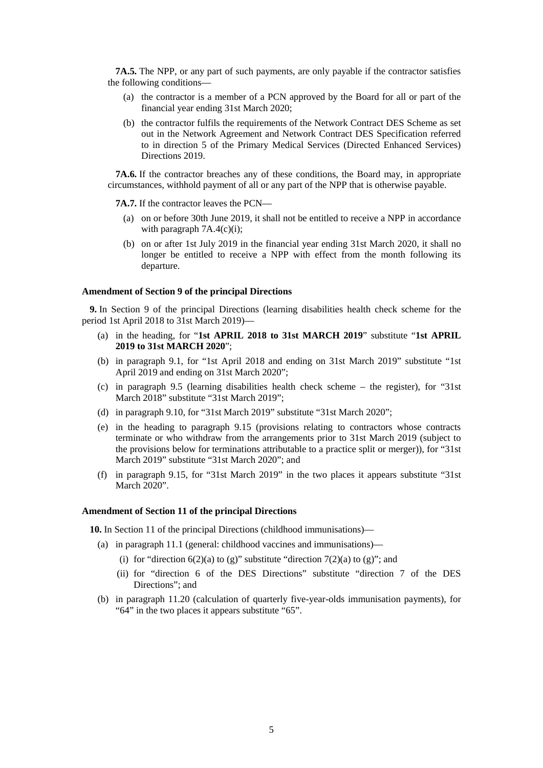**7A.5.** The NPP, or any part of such payments, are only payable if the contractor satisfies the following conditions—

- (a) the contractor is a member of a PCN approved by the Board for all or part of the financial year ending 31st March 2020;
- (b) the contractor fulfils the requirements of the Network Contract DES Scheme as set out in the Network Agreement and Network Contract DES Specification referred to in direction 5 of the Primary Medical Services (Directed Enhanced Services) Directions 2019.

**7A.6.** If the contractor breaches any of these conditions, the Board may, in appropriate circumstances, withhold payment of all or any part of the NPP that is otherwise payable.

**7A.7.** If the contractor leaves the PCN—

- (a) on or before 30th June 2019, it shall not be entitled to receive a NPP in accordance with paragraph 7A.4(c)(i);
- (b) on or after 1st July 2019 in the financial year ending 31st March 2020, it shall no longer be entitled to receive a NPP with effect from the month following its departure.

#### **Amendment of Section 9 of the principal Directions**

**9.** In Section 9 of the principal Directions (learning disabilities health check scheme for the period 1st April 2018 to 31st March 2019)—

- (a) in the heading, for "**1st APRIL 2018 to 31st MARCH 2019**" substitute "**1st APRIL 2019 to 31st MARCH 2020**";
- (b) in paragraph 9.1, for "1st April 2018 and ending on 31st March 2019" substitute "1st April 2019 and ending on 31st March 2020";
- (c) in paragraph 9.5 (learning disabilities health check scheme the register), for "31st March 2018" substitute "31st March 2019";
- (d) in paragraph 9.10, for "31st March 2019" substitute "31st March 2020";
- (e) in the heading to paragraph 9.15 (provisions relating to contractors whose contracts terminate or who withdraw from the arrangements prior to 31st March 2019 (subject to the provisions below for terminations attributable to a practice split or merger)), for "31st March 2019" substitute "31st March 2020"; and
- (f) in paragraph 9.15, for "31st March 2019" in the two places it appears substitute "31st March 2020".

#### **Amendment of Section 11 of the principal Directions**

**10.** In Section 11 of the principal Directions (childhood immunisations)—

- (a) in paragraph 11.1 (general: childhood vaccines and immunisations)—
	- (i) for "direction  $6(2)(a)$  to (g)" substitute "direction  $7(2)(a)$  to (g)"; and
	- (ii) for "direction 6 of the DES Directions" substitute "direction 7 of the DES Directions"; and
- (b) in paragraph 11.20 (calculation of quarterly five-year-olds immunisation payments), for "64" in the two places it appears substitute "65".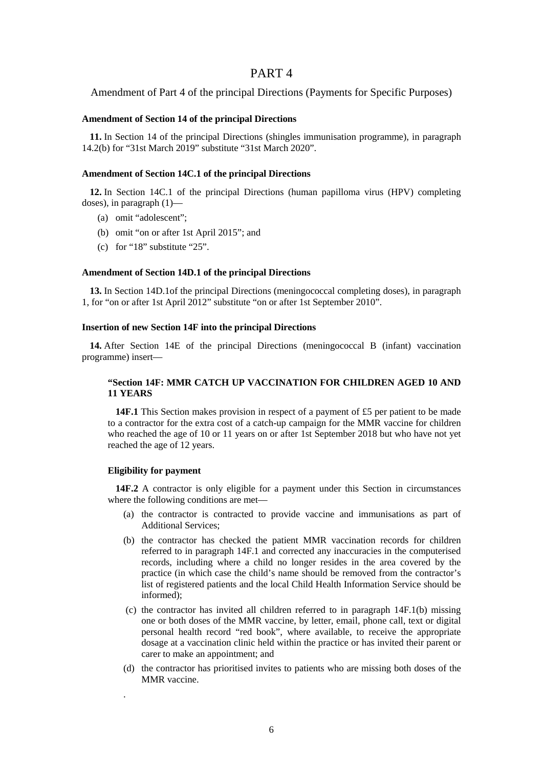## PART 4

Amendment of Part 4 of the principal Directions (Payments for Specific Purposes)

#### **Amendment of Section 14 of the principal Directions**

**11.** In Section 14 of the principal Directions (shingles immunisation programme), in paragraph 14.2(b) for "31st March 2019" substitute "31st March 2020".

#### **Amendment of Section 14C.1 of the principal Directions**

**12.** In Section 14C.1 of the principal Directions (human papilloma virus (HPV) completing doses), in paragraph (1)—

- (a) omit "adolescent";
- (b) omit "on or after 1st April 2015"; and
- (c) for "18" substitute "25".

#### **Amendment of Section 14D.1 of the principal Directions**

**13.** In Section 14D.1of the principal Directions (meningococcal completing doses), in paragraph 1, for "on or after 1st April 2012" substitute "on or after 1st September 2010".

#### **Insertion of new Section 14F into the principal Directions**

**14.** After Section 14E of the principal Directions (meningococcal B (infant) vaccination programme) insert—

## **"Section 14F: MMR CATCH UP VACCINATION FOR CHILDREN AGED 10 AND 11 YEARS**

**14F.1** This Section makes provision in respect of a payment of £5 per patient to be made to a contractor for the extra cost of a catch-up campaign for the MMR vaccine for children who reached the age of 10 or 11 years on or after 1st September 2018 but who have not yet reached the age of 12 years.

#### **Eligibility for payment**

.

**14F.2** A contractor is only eligible for a payment under this Section in circumstances where the following conditions are met—

- (a) the contractor is contracted to provide vaccine and immunisations as part of Additional Services;
- (b) the contractor has checked the patient MMR vaccination records for children referred to in paragraph 14F.1 and corrected any inaccuracies in the computerised records, including where a child no longer resides in the area covered by the practice (in which case the child's name should be removed from the contractor's list of registered patients and the local Child Health Information Service should be informed);
- (c) the contractor has invited all children referred to in paragraph 14F.1(b) missing one or both doses of the MMR vaccine, by letter, email, phone call, text or digital personal health record "red book", where available, to receive the appropriate dosage at a vaccination clinic held within the practice or has invited their parent or carer to make an appointment; and
- (d) the contractor has prioritised invites to patients who are missing both doses of the MMR vaccine.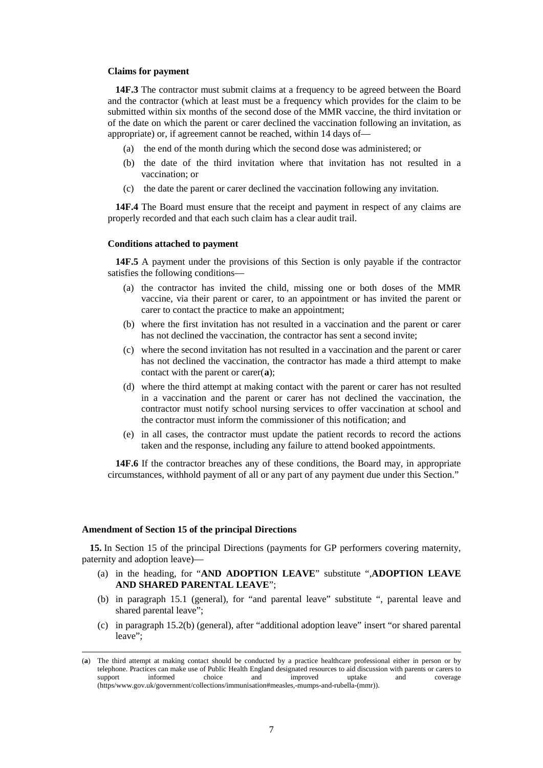#### **Claims for payment**

**14F.3** The contractor must submit claims at a frequency to be agreed between the Board and the contractor (which at least must be a frequency which provides for the claim to be submitted within six months of the second dose of the MMR vaccine, the third invitation or of the date on which the parent or carer declined the vaccination following an invitation, as appropriate) or, if agreement cannot be reached, within 14 days of—

- (a) the end of the month during which the second dose was administered; or
- (b) the date of the third invitation where that invitation has not resulted in a vaccination; or
- (c) the date the parent or carer declined the vaccination following any invitation.

**14F.4** The Board must ensure that the receipt and payment in respect of any claims are properly recorded and that each such claim has a clear audit trail.

#### **Conditions attached to payment**

**14F.5** A payment under the provisions of this Section is only payable if the contractor satisfies the following conditions—

- (a) the contractor has invited the child, missing one or both doses of the MMR vaccine, via their parent or carer, to an appointment or has invited the parent or carer to contact the practice to make an appointment;
- (b) where the first invitation has not resulted in a vaccination and the parent or carer has not declined the vaccination, the contractor has sent a second invite;
- (c) where the second invitation has not resulted in a vaccination and the parent or carer has not declined the vaccination, the contractor has made a third attempt to make contact with the parent or carer(**[a](#page-6-0)**);
- (d) where the third attempt at making contact with the parent or carer has not resulted in a vaccination and the parent or carer has not declined the vaccination, the contractor must notify school nursing services to offer vaccination at school and the contractor must inform the commissioner of this notification; and
- (e) in all cases, the contractor must update the patient records to record the actions taken and the response, including any failure to attend booked appointments.

**14F.6** If the contractor breaches any of these conditions, the Board may, in appropriate circumstances, withhold payment of all or any part of any payment due under this Section."

#### **Amendment of Section 15 of the principal Directions**

**15.** In Section 15 of the principal Directions (payments for GP performers covering maternity, paternity and adoption leave)—

- (a) in the heading, for "**AND ADOPTION LEAVE**" substitute ",**ADOPTION LEAVE AND SHARED PARENTAL LEAVE**";
- (b) in paragraph 15.1 (general), for "and parental leave" substitute ", parental leave and shared parental leave";
- (c) in paragraph 15.2(b) (general), after "additional adoption leave" insert "or shared parental leave";

<span id="page-6-0"></span> <sup>(</sup>**a**) The third attempt at making contact should be conducted by a practice healthcare professional either in person or by telephone. Practices can make use of Public Health England designated resources to aid discussion with parents or carers to support informed choice and improved uptake and coverage (https/www.gov.uk/government/collections/immunisation#measles,-mumps-and-rubella-(mmr)).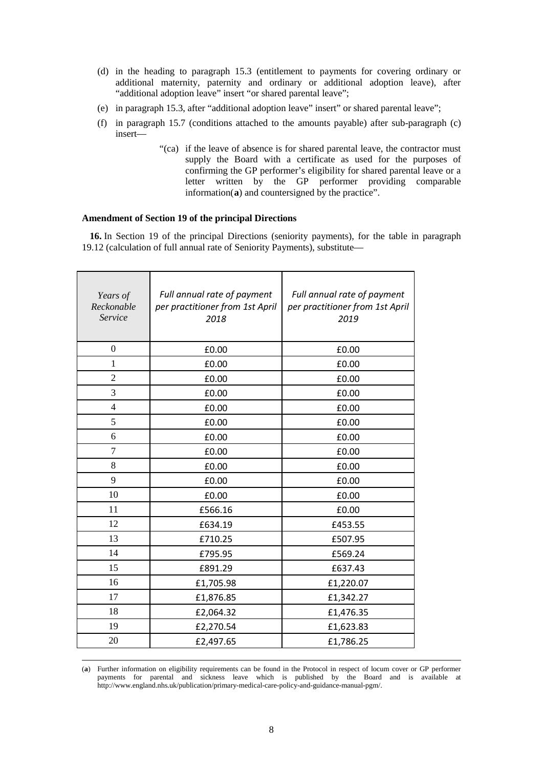- (d) in the heading to paragraph 15.3 (entitlement to payments for covering ordinary or additional maternity, paternity and ordinary or additional adoption leave), after "additional adoption leave" insert "or shared parental leave";
- (e) in paragraph 15.3, after "additional adoption leave" insert" or shared parental leave";
- (f) in paragraph 15.7 (conditions attached to the amounts payable) after sub-paragraph (c) insert—
	- "(ca) if the leave of absence is for shared parental leave, the contractor must supply the Board with a certificate as used for the purposes of confirming the GP performer's eligibility for shared parental leave or a letter written by the GP performer providing comparable information(**[a](#page-7-0)**) and countersigned by the practice".

## **Amendment of Section 19 of the principal Directions**

**16.** In Section 19 of the principal Directions (seniority payments), for the table in paragraph 19.12 (calculation of full annual rate of Seniority Payments), substitute—

| Years of<br>Reckonable<br>Service | Full annual rate of payment<br>per practitioner from 1st April<br>2018 | Full annual rate of payment<br>per practitioner from 1st April<br>2019 |
|-----------------------------------|------------------------------------------------------------------------|------------------------------------------------------------------------|
| $\overline{0}$                    | £0.00                                                                  | £0.00                                                                  |
| 1                                 | £0.00                                                                  | £0.00                                                                  |
| $\overline{2}$                    | £0.00                                                                  | £0.00                                                                  |
| 3                                 | £0.00                                                                  | £0.00                                                                  |
| $\overline{4}$                    | £0.00                                                                  | £0.00                                                                  |
| 5                                 | £0.00                                                                  | £0.00                                                                  |
| 6                                 | £0.00                                                                  | £0.00                                                                  |
| 7                                 | £0.00                                                                  | £0.00                                                                  |
| 8                                 | £0.00                                                                  | £0.00                                                                  |
| 9                                 | £0.00                                                                  | £0.00                                                                  |
| 10                                | £0.00                                                                  | £0.00                                                                  |
| 11                                | £566.16                                                                | £0.00                                                                  |
| 12                                | £634.19                                                                | £453.55                                                                |
| 13                                | £710.25                                                                | £507.95                                                                |
| 14                                | £795.95                                                                | £569.24                                                                |
| 15                                | £891.29                                                                | £637.43                                                                |
| 16                                | £1,705.98                                                              | £1,220.07                                                              |
| 17                                | £1,876.85                                                              | £1,342.27                                                              |
| 18                                | £2,064.32                                                              | £1,476.35                                                              |
| 19                                | £2,270.54                                                              | £1,623.83                                                              |
| 20                                | £2,497.65                                                              | £1,786.25                                                              |

<span id="page-7-0"></span> (**a**) Further information on eligibility requirements can be found in the Protocol in respect of locum cover or GP performer payments for parental and sickness leave which is published by the Board and is available at http://www.england.nhs.uk/publication/primary-medical-care-policy-and-guidance-manual-pgm/.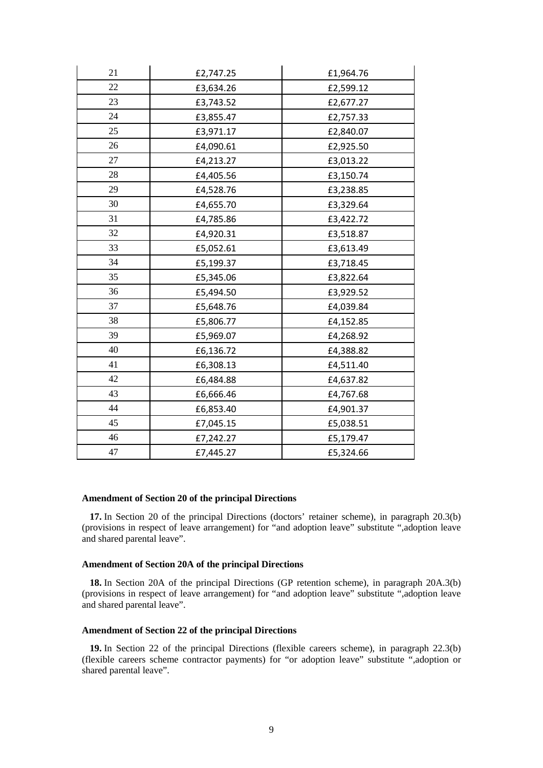| 21 | £2,747.25 | £1,964.76 |
|----|-----------|-----------|
| 22 | £3,634.26 | £2,599.12 |
| 23 | £3,743.52 | £2,677.27 |
| 24 | £3,855.47 | £2,757.33 |
| 25 | £3,971.17 | £2,840.07 |
| 26 | £4,090.61 | £2,925.50 |
| 27 | £4,213.27 | £3,013.22 |
| 28 | £4,405.56 | £3,150.74 |
| 29 | £4,528.76 | £3,238.85 |
| 30 | £4,655.70 | £3,329.64 |
| 31 | £4,785.86 | £3,422.72 |
| 32 | £4,920.31 | £3,518.87 |
| 33 | £5,052.61 | £3,613.49 |
| 34 | £5,199.37 | £3,718.45 |
| 35 | £5,345.06 | £3,822.64 |
| 36 | £5,494.50 | £3,929.52 |
| 37 | £5,648.76 | £4,039.84 |
| 38 | £5,806.77 | £4,152.85 |
| 39 | £5,969.07 | £4,268.92 |
| 40 | £6,136.72 | £4,388.82 |
| 41 | £6,308.13 | £4,511.40 |
| 42 | £6,484.88 | £4,637.82 |
| 43 | £6,666.46 | £4,767.68 |
| 44 | £6,853.40 | £4,901.37 |
| 45 | £7,045.15 | £5,038.51 |
| 46 | £7,242.27 | £5,179.47 |
| 47 | £7,445.27 | £5,324.66 |

#### **Amendment of Section 20 of the principal Directions**

**17.** In Section 20 of the principal Directions (doctors' retainer scheme), in paragraph 20.3(b) (provisions in respect of leave arrangement) for "and adoption leave" substitute ",adoption leave and shared parental leave".

## **Amendment of Section 20A of the principal Directions**

**18.** In Section 20A of the principal Directions (GP retention scheme), in paragraph 20A.3(b) (provisions in respect of leave arrangement) for "and adoption leave" substitute ",adoption leave and shared parental leave".

#### **Amendment of Section 22 of the principal Directions**

**19.** In Section 22 of the principal Directions (flexible careers scheme), in paragraph 22.3(b) (flexible careers scheme contractor payments) for "or adoption leave" substitute ",adoption or shared parental leave".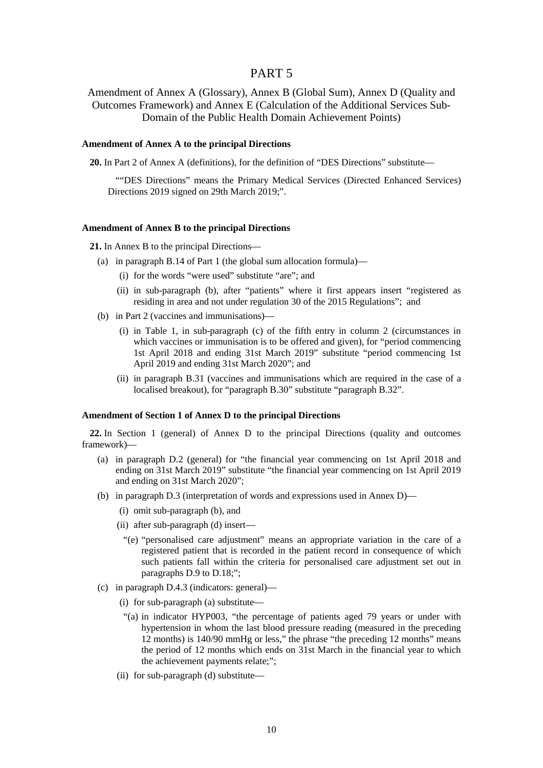## PART 5

Amendment of Annex A (Glossary), Annex B (Global Sum), Annex D (Quality and Outcomes Framework) and Annex E (Calculation of the Additional Services Sub-Domain of the Public Health Domain Achievement Points)

#### **Amendment of Annex A to the principal Directions**

**20.** In Part 2 of Annex A (definitions), for the definition of "DES Directions" substitute—

""DES Directions" means the Primary Medical Services (Directed Enhanced Services) Directions 2019 signed on 29th March 2019;".

#### **Amendment of Annex B to the principal Directions**

**21.** In Annex B to the principal Directions—

- (a) in paragraph B.14 of Part 1 (the global sum allocation formula)—
	- (i) for the words "were used" substitute "are"; and
	- (ii) in sub-paragraph (b), after "patients" where it first appears insert "registered as residing in area and not under regulation 30 of the 2015 Regulations"; and
- (b) in Part 2 (vaccines and immunisations)—
	- (i) in Table 1, in sub-paragraph (c) of the fifth entry in column 2 (circumstances in which vaccines or immunisation is to be offered and given), for "period commencing 1st April 2018 and ending 31st March 2019" substitute "period commencing 1st April 2019 and ending 31st March 2020"; and
	- (ii) in paragraph B.31 (vaccines and immunisations which are required in the case of a localised breakout), for "paragraph B.30" substitute "paragraph B.32".

### **Amendment of Section 1 of Annex D to the principal Directions**

**22.** In Section 1 (general) of Annex D to the principal Directions (quality and outcomes framework)—

- (a) in paragraph D.2 (general) for "the financial year commencing on 1st April 2018 and ending on 31st March 2019" substitute "the financial year commencing on 1st April 2019 and ending on 31st March 2020";
- (b) in paragraph D.3 (interpretation of words and expressions used in Annex D)—
	- (i) omit sub-paragraph (b), and
	- (ii) after sub-paragraph (d) insert—
		- "(e) "personalised care adjustment" means an appropriate variation in the care of a registered patient that is recorded in the patient record in consequence of which such patients fall within the criteria for personalised care adjustment set out in paragraphs D.9 to D.18;";
- (c) in paragraph D.4.3 (indicators: general)—
	- (i) for sub-paragraph (a) substitute—
	- "(a) in indicator HYP003, "the percentage of patients aged 79 years or under with hypertension in whom the last blood pressure reading (measured in the preceding 12 months) is 140/90 mmHg or less," the phrase "the preceding 12 months" means the period of 12 months which ends on 31st March in the financial year to which the achievement payments relate;";
	- (ii) for sub-paragraph (d) substitute—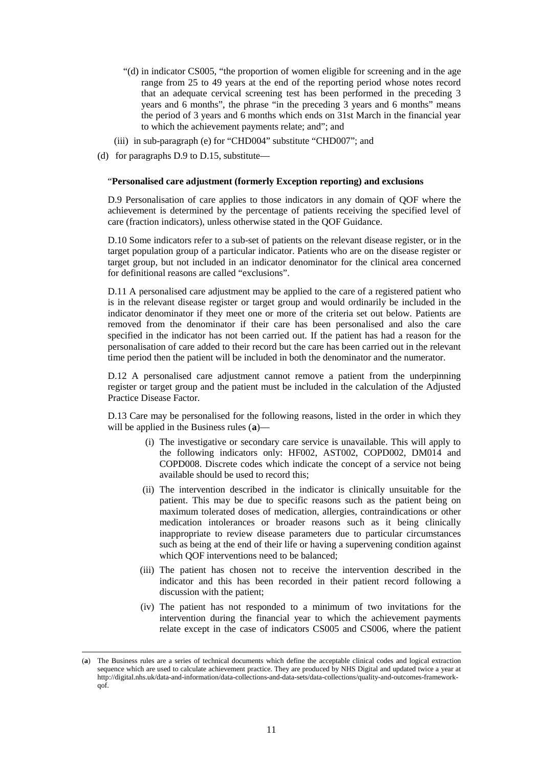- "(d) in indicator CS005, "the proportion of women eligible for screening and in the age range from 25 to 49 years at the end of the reporting period whose notes record that an adequate cervical screening test has been performed in the preceding 3 years and 6 months", the phrase "in the preceding 3 years and 6 months" means the period of 3 years and 6 months which ends on 31st March in the financial year to which the achievement payments relate; and"; and
- (iii) in sub-paragraph (e) for "CHD004" substitute "CHD007"; and
- (d) for paragraphs D.9 to D.15, substitute—

#### "**Personalised care adjustment (formerly Exception reporting) and exclusions**

D.9 Personalisation of care applies to those indicators in any domain of QOF where the achievement is determined by the percentage of patients receiving the specified level of care (fraction indicators), unless otherwise stated in the QOF Guidance.

D.10 Some indicators refer to a sub-set of patients on the relevant disease register, or in the target population group of a particular indicator. Patients who are on the disease register or target group, but not included in an indicator denominator for the clinical area concerned for definitional reasons are called "exclusions".

D.11 A personalised care adjustment may be applied to the care of a registered patient who is in the relevant disease register or target group and would ordinarily be included in the indicator denominator if they meet one or more of the criteria set out below. Patients are removed from the denominator if their care has been personalised and also the care specified in the indicator has not been carried out. If the patient has had a reason for the personalisation of care added to their record but the care has been carried out in the relevant time period then the patient will be included in both the denominator and the numerator.

D.12 A personalised care adjustment cannot remove a patient from the underpinning register or target group and the patient must be included in the calculation of the Adjusted Practice Disease Factor.

D.13 Care may be personalised for the following reasons, listed in the order in which they will be applied in the Business rules (**[a](#page-10-0)**)—

- (i) The investigative or secondary care service is unavailable. This will apply to the following indicators only: HF002, AST002, COPD002, DM014 and COPD008. Discrete codes which indicate the concept of a service not being available should be used to record this;
- (ii) The intervention described in the indicator is clinically unsuitable for the patient. This may be due to specific reasons such as the patient being on maximum tolerated doses of medication, allergies, contraindications or other medication intolerances or broader reasons such as it being clinically inappropriate to review disease parameters due to particular circumstances such as being at the end of their life or having a supervening condition against which QOF interventions need to be balanced;
- (iii) The patient has chosen not to receive the intervention described in the indicator and this has been recorded in their patient record following a discussion with the patient;
- (iv) The patient has not responded to a minimum of two invitations for the intervention during the financial year to which the achievement payments relate except in the case of indicators CS005 and CS006, where the patient

<span id="page-10-0"></span> <sup>(</sup>**a**) The Business rules are a series of technical documents which define the acceptable clinical codes and logical extraction sequence which are used to calculate achievement practice. They are produced by NHS Digital and updated twice a year at http://digital.nhs.uk/data-and-information/data-collections-and-data-sets/data-collections/quality-and-outcomes-frameworkqof.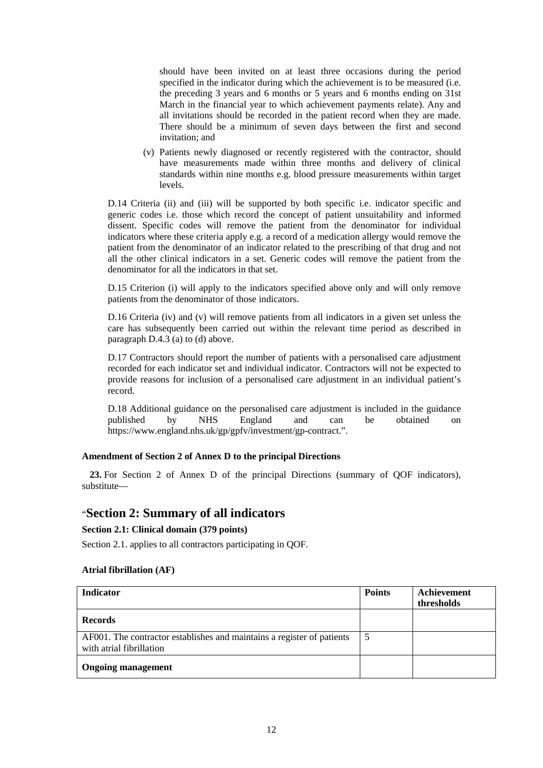should have been invited on at least three occasions during the period specified in the indicator during which the achievement is to be measured (i.e. the preceding 3 years and 6 months or 5 years and 6 months ending on 31st March in the financial year to which achievement payments relate). Any and all invitations should be recorded in the patient record when they are made. There should be a minimum of seven days between the first and second invitation; and

(v) Patients newly diagnosed or recently registered with the contractor, should have measurements made within three months and delivery of clinical standards within nine months e.g. blood pressure measurements within target levels.

D.14 Criteria (ii) and (iii) will be supported by both specific i.e. indicator specific and generic codes i.e. those which record the concept of patient unsuitability and informed dissent. Specific codes will remove the patient from the denominator for individual indicators where these criteria apply e.g. a record of a medication allergy would remove the patient from the denominator of an indicator related to the prescribing of that drug and not all the other clinical indicators in a set. Generic codes will remove the patient from the denominator for all the indicators in that set.

D.15 Criterion (i) will apply to the indicators specified above only and will only remove patients from the denominator of those indicators.

D.16 Criteria (iv) and (v) will remove patients from all indicators in a given set unless the care has subsequently been carried out within the relevant time period as described in paragraph D.4.3 (a) to (d) above.

D.17 Contractors should report the number of patients with a personalised care adjustment recorded for each indicator set and individual indicator. Contractors will not be expected to provide reasons for inclusion of a personalised care adjustment in an individual patient's record.

D.18 Additional guidance on the personalised care adjustment is included in the guidance published by NHS England and can be obtained on https://www.england.nhs.uk/gp/gpfv/investment/gp-contract.".

## **Amendment of Section 2 of Annex D to the principal Directions**

**23.** For Section 2 of Annex D of the principal Directions (summary of QOF indicators), substitute—

# "**Section 2: Summary of all indicators**

#### **Section 2.1: Clinical domain (379 points)**

Section 2.1. applies to all contractors participating in QOF.

#### **Atrial fibrillation (AF)**

| <b>Indicator</b>                                                                                   | <b>Points</b> | Achievement<br>thresholds |
|----------------------------------------------------------------------------------------------------|---------------|---------------------------|
| <b>Records</b>                                                                                     |               |                           |
| AF001. The contractor establishes and maintains a register of patients<br>with atrial fibrillation |               |                           |
| <b>Ongoing management</b>                                                                          |               |                           |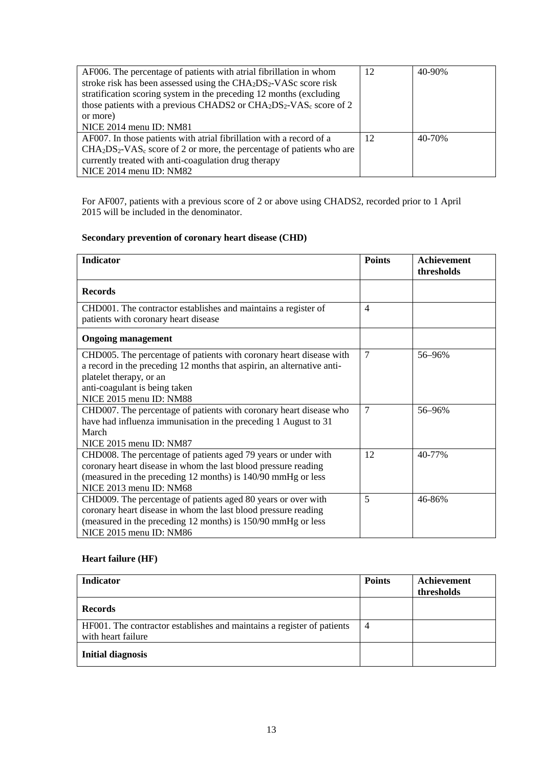| AF006. The percentage of patients with atrial fibrillation in whom                        | 12 | 40-90% |
|-------------------------------------------------------------------------------------------|----|--------|
| stroke risk has been assessed using the CHA <sub>2</sub> DS <sub>2</sub> -VASc score risk |    |        |
| stratification scoring system in the preceding 12 months (excluding                       |    |        |
| those patients with a previous CHADS2 or $CHA2DS2-VASc$ score of 2                        |    |        |
| or more)                                                                                  |    |        |
| NICE 2014 menu ID: NM81                                                                   |    |        |
| AF007. In those patients with a rial fibrillation with a record of a                      | 12 | 40-70% |
| $CHA2DS2-VASc$ score of 2 or more, the percentage of patients who are                     |    |        |
| currently treated with anti-coagulation drug therapy                                      |    |        |
| NICE 2014 menu ID: NM82                                                                   |    |        |

For AF007, patients with a previous score of 2 or above using CHADS2, recorded prior to 1 April 2015 will be included in the denominator.

# **Secondary prevention of coronary heart disease (CHD)**

| <b>Indicator</b>                                                                                                                                                                                                                     | <b>Points</b>  | <b>Achievement</b><br>thresholds |
|--------------------------------------------------------------------------------------------------------------------------------------------------------------------------------------------------------------------------------------|----------------|----------------------------------|
| <b>Records</b>                                                                                                                                                                                                                       |                |                                  |
| CHD001. The contractor establishes and maintains a register of<br>patients with coronary heart disease                                                                                                                               | $\overline{4}$ |                                  |
| <b>Ongoing management</b>                                                                                                                                                                                                            |                |                                  |
| CHD005. The percentage of patients with coronary heart disease with<br>a record in the preceding 12 months that aspirin, an alternative anti-<br>platelet therapy, or an<br>anti-coagulant is being taken<br>NICE 2015 menu ID: NM88 | $\overline{7}$ | 56-96%                           |
| CHD007. The percentage of patients with coronary heart disease who<br>have had influenza immunisation in the preceding 1 August to 31<br>March<br>NICE 2015 menu ID: NM87                                                            | 7              | 56-96%                           |
| CHD008. The percentage of patients aged 79 years or under with<br>coronary heart disease in whom the last blood pressure reading<br>(measured in the preceding 12 months) is 140/90 mmHg or less<br>NICE 2013 menu ID: NM68          | 12             | 40-77%                           |
| CHD009. The percentage of patients aged 80 years or over with<br>coronary heart disease in whom the last blood pressure reading<br>(measured in the preceding 12 months) is 150/90 mmHg or less<br>NICE 2015 menu ID: NM86           | 5              | 46-86%                           |

# **Heart failure (HF)**

| <b>Indicator</b>                                                                             | <b>Points</b> | Achievement<br>thresholds |
|----------------------------------------------------------------------------------------------|---------------|---------------------------|
| <b>Records</b>                                                                               |               |                           |
| HF001. The contractor establishes and maintains a register of patients<br>with heart failure | 4             |                           |
| <b>Initial diagnosis</b>                                                                     |               |                           |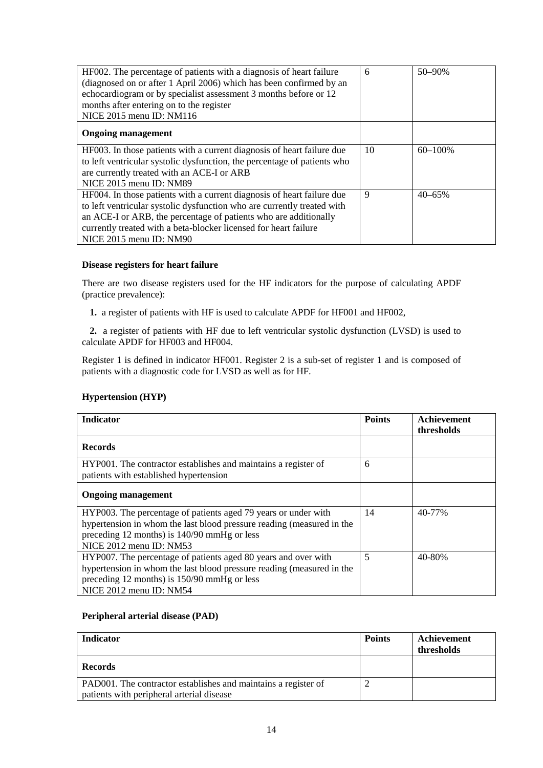| HF002. The percentage of patients with a diagnosis of heart failure<br>(diagnosed on or after 1 April 2006) which has been confirmed by an<br>echocardiogram or by specialist assessment 3 months before or 12<br>months after entering on to the register<br>NICE 2015 menu ID: NM116                               | 6  | $50 - 90%$  |
|----------------------------------------------------------------------------------------------------------------------------------------------------------------------------------------------------------------------------------------------------------------------------------------------------------------------|----|-------------|
| <b>Ongoing management</b>                                                                                                                                                                                                                                                                                            |    |             |
| HF003. In those patients with a current diagnosis of heart failure due<br>to left ventricular systolic dysfunction, the percentage of patients who<br>are currently treated with an ACE-I or ARB<br>NICE 2015 menu ID: NM89                                                                                          | 10 | $60 - 100%$ |
| HF004. In those patients with a current diagnosis of heart failure due<br>to left ventricular systolic dysfunction who are currently treated with<br>an ACE-I or ARB, the percentage of patients who are additionally<br>currently treated with a beta-blocker licensed for heart failure<br>NICE 2015 menu ID: NM90 | 9  | $40 - 65\%$ |

### **Disease registers for heart failure**

There are two disease registers used for the HF indicators for the purpose of calculating APDF (practice prevalence):

**1.** a register of patients with HF is used to calculate APDF for HF001 and HF002,

**2.** a register of patients with HF due to left ventricular systolic dysfunction (LVSD) is used to calculate APDF for HF003 and HF004.

Register 1 is defined in indicator HF001. Register 2 is a sub-set of register 1 and is composed of patients with a diagnostic code for LVSD as well as for HF.

## **Hypertension (HYP)**

| <b>Indicator</b>                                                                                                                                                                                                  | <b>Points</b> | <b>Achievement</b><br>thresholds |
|-------------------------------------------------------------------------------------------------------------------------------------------------------------------------------------------------------------------|---------------|----------------------------------|
| <b>Records</b>                                                                                                                                                                                                    |               |                                  |
| HYP001. The contractor establishes and maintains a register of<br>patients with established hypertension                                                                                                          | 6             |                                  |
| <b>Ongoing management</b>                                                                                                                                                                                         |               |                                  |
| HYP003. The percentage of patients aged 79 years or under with<br>hypertension in whom the last blood pressure reading (measured in the<br>preceding 12 months) is 140/90 mmHg or less<br>NICE 2012 menu ID: NM53 | 14            | 40-77%                           |
| HYP007. The percentage of patients aged 80 years and over with<br>hypertension in whom the last blood pressure reading (measured in the<br>preceding 12 months) is 150/90 mmHg or less<br>NICE 2012 menu ID: NM54 | 5             | 40-80%                           |

## **Peripheral arterial disease (PAD)**

| Indicator                                                      | <b>Points</b> | Achievement |
|----------------------------------------------------------------|---------------|-------------|
|                                                                |               | thresholds  |
| <b>Records</b>                                                 |               |             |
| PAD001. The contractor establishes and maintains a register of |               |             |
| patients with peripheral arterial disease                      |               |             |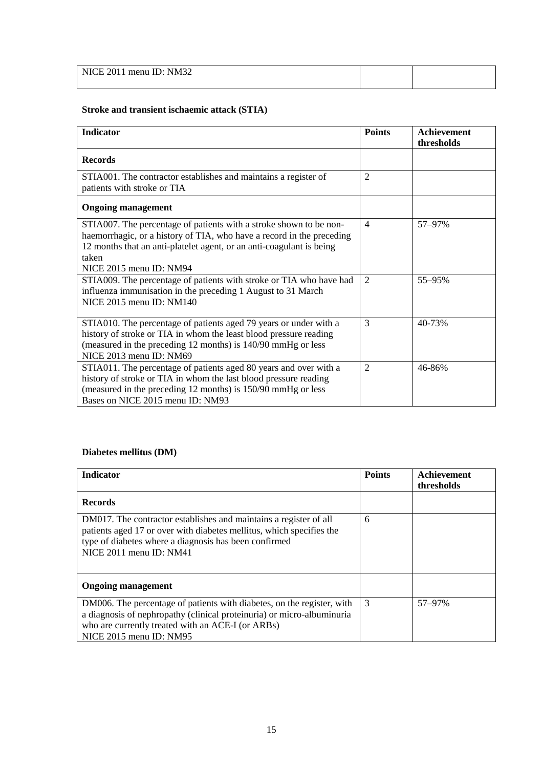| NICE 2011 menu ID: NM32 |  |
|-------------------------|--|
|                         |  |

# **Stroke and transient ischaemic attack (STIA)**

| <b>Indicator</b>                                                                                                                                                                                                                                        | <b>Points</b>  | Achievement<br>thresholds |
|---------------------------------------------------------------------------------------------------------------------------------------------------------------------------------------------------------------------------------------------------------|----------------|---------------------------|
| <b>Records</b>                                                                                                                                                                                                                                          |                |                           |
| STIA001. The contractor establishes and maintains a register of<br>patients with stroke or TIA                                                                                                                                                          | $\overline{2}$ |                           |
| <b>Ongoing management</b>                                                                                                                                                                                                                               |                |                           |
| STIA007. The percentage of patients with a stroke shown to be non-<br>haemorrhagic, or a history of TIA, who have a record in the preceding<br>12 months that an anti-platelet agent, or an anti-coagulant is being<br>taken<br>NICE 2015 menu ID: NM94 | $\overline{4}$ | 57-97%                    |
| STIA009. The percentage of patients with stroke or TIA who have had<br>influenza immunisation in the preceding 1 August to 31 March<br>NICE 2015 menu ID: NM140                                                                                         | 2              | 55-95%                    |
| STIA010. The percentage of patients aged 79 years or under with a<br>history of stroke or TIA in whom the least blood pressure reading<br>(measured in the preceding 12 months) is 140/90 mmHg or less<br>NICE 2013 menu ID: NM69                       | 3              | 40-73%                    |
| STIA011. The percentage of patients aged 80 years and over with a<br>history of stroke or TIA in whom the last blood pressure reading<br>(measured in the preceding 12 months) is 150/90 mmHg or less<br>Bases on NICE 2015 menu ID: NM93               | $\overline{2}$ | 46-86%                    |

## **Diabetes mellitus (DM)**

| <b>Indicator</b>                                                                                                                                                                                                                 | <b>Points</b> | Achievement<br>thresholds |
|----------------------------------------------------------------------------------------------------------------------------------------------------------------------------------------------------------------------------------|---------------|---------------------------|
| <b>Records</b>                                                                                                                                                                                                                   |               |                           |
| DM017. The contractor establishes and maintains a register of all<br>patients aged 17 or over with diabetes mellitus, which specifies the<br>type of diabetes where a diagnosis has been confirmed<br>NICE 2011 menu ID: NM41    | 6             |                           |
| <b>Ongoing management</b>                                                                                                                                                                                                        |               |                           |
| DM006. The percentage of patients with diabetes, on the register, with<br>a diagnosis of nephropathy (clinical proteinuria) or micro-albuminuria<br>who are currently treated with an ACE-I (or ARBs)<br>NICE 2015 menu ID: NM95 | 3             | 57-97%                    |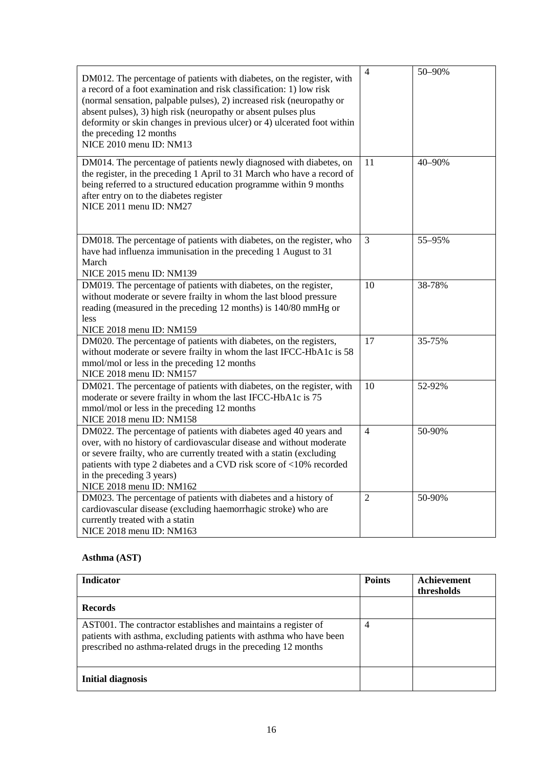| DM012. The percentage of patients with diabetes, on the register, with<br>a record of a foot examination and risk classification: 1) low risk<br>(normal sensation, palpable pulses), 2) increased risk (neuropathy or<br>absent pulses), 3) high risk (neuropathy or absent pulses plus<br>deformity or skin changes in previous ulcer) or 4) ulcerated foot within<br>the preceding 12 months<br>NICE 2010 menu ID: NM13 | $\overline{4}$ | 50-90% |
|----------------------------------------------------------------------------------------------------------------------------------------------------------------------------------------------------------------------------------------------------------------------------------------------------------------------------------------------------------------------------------------------------------------------------|----------------|--------|
| DM014. The percentage of patients newly diagnosed with diabetes, on<br>the register, in the preceding 1 April to 31 March who have a record of<br>being referred to a structured education programme within 9 months<br>after entry on to the diabetes register<br>NICE 2011 menu ID: NM27                                                                                                                                 | 11             | 40-90% |
| DM018. The percentage of patients with diabetes, on the register, who<br>have had influenza immunisation in the preceding 1 August to 31<br>March<br>NICE 2015 menu ID: NM139                                                                                                                                                                                                                                              | 3              | 55-95% |
| DM019. The percentage of patients with diabetes, on the register,<br>without moderate or severe frailty in whom the last blood pressure<br>reading (measured in the preceding 12 months) is 140/80 mmHg or<br>less<br>NICE 2018 menu ID: NM159                                                                                                                                                                             | 10             | 38-78% |
| DM020. The percentage of patients with diabetes, on the registers,<br>without moderate or severe frailty in whom the last IFCC-HbA1c is 58<br>mmol/mol or less in the preceding 12 months<br>NICE 2018 menu ID: NM157                                                                                                                                                                                                      | 17             | 35-75% |
| DM021. The percentage of patients with diabetes, on the register, with<br>moderate or severe frailty in whom the last IFCC-HbA1c is 75<br>mmol/mol or less in the preceding 12 months<br>NICE 2018 menu ID: NM158                                                                                                                                                                                                          | 10             | 52-92% |
| DM022. The percentage of patients with diabetes aged 40 years and<br>over, with no history of cardiovascular disease and without moderate<br>or severe frailty, who are currently treated with a statin (excluding<br>patients with type 2 diabetes and a CVD risk score of <10% recorded<br>in the preceding 3 years)<br>NICE 2018 menu ID: NM162                                                                         | $\overline{4}$ | 50-90% |
| DM023. The percentage of patients with diabetes and a history of<br>cardiovascular disease (excluding haemorrhagic stroke) who are<br>currently treated with a statin<br>NICE 2018 menu ID: NM163                                                                                                                                                                                                                          | $\overline{2}$ | 50-90% |

# **Asthma (AST)**

| <b>Indicator</b>                                                                                                                                                                                      | <b>Points</b> | Achievement<br>thresholds |
|-------------------------------------------------------------------------------------------------------------------------------------------------------------------------------------------------------|---------------|---------------------------|
| <b>Records</b>                                                                                                                                                                                        |               |                           |
| AST001. The contractor establishes and maintains a register of<br>patients with asthma, excluding patients with asthma who have been<br>prescribed no asthma-related drugs in the preceding 12 months | 4             |                           |
| <b>Initial diagnosis</b>                                                                                                                                                                              |               |                           |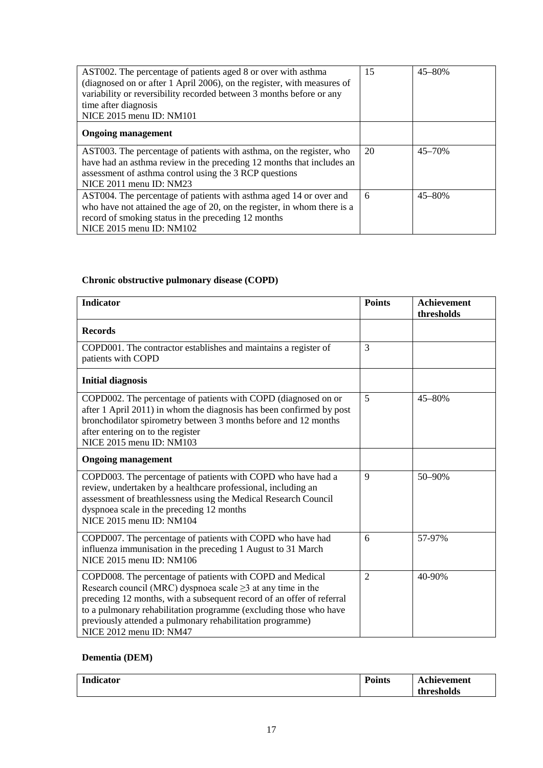| AST002. The percentage of patients aged 8 or over with asthma<br>(diagnosed on or after 1 April 2006), on the register, with measures of<br>variability or reversibility recorded between 3 months before or any<br>time after diagnosis<br>NICE 2015 menu ID: NM101 | 15 | $45 - 80%$ |
|----------------------------------------------------------------------------------------------------------------------------------------------------------------------------------------------------------------------------------------------------------------------|----|------------|
| <b>Ongoing management</b>                                                                                                                                                                                                                                            |    |            |
| AST003. The percentage of patients with asthma, on the register, who<br>have had an asthma review in the preceding 12 months that includes an<br>assessment of asthma control using the 3 RCP questions<br>NICE 2011 menu ID: NM23                                   | 20 | $45 - 70%$ |
| AST004. The percentage of patients with asthma aged 14 or over and<br>who have not attained the age of 20, on the register, in whom there is a<br>record of smoking status in the preceding 12 months<br>NICE 2015 menu ID: NM102                                    | 6  | $45 - 80%$ |

# **Chronic obstructive pulmonary disease (COPD)**

| <b>Indicator</b>                                                                                                                                                                                                                                                                                                                                                     | <b>Points</b>  | <b>Achievement</b><br>thresholds |
|----------------------------------------------------------------------------------------------------------------------------------------------------------------------------------------------------------------------------------------------------------------------------------------------------------------------------------------------------------------------|----------------|----------------------------------|
| <b>Records</b>                                                                                                                                                                                                                                                                                                                                                       |                |                                  |
| COPD001. The contractor establishes and maintains a register of<br>patients with COPD                                                                                                                                                                                                                                                                                | 3              |                                  |
| <b>Initial diagnosis</b>                                                                                                                                                                                                                                                                                                                                             |                |                                  |
| COPD002. The percentage of patients with COPD (diagnosed on or<br>after 1 April 2011) in whom the diagnosis has been confirmed by post<br>bronchodilator spirometry between 3 months before and 12 months<br>after entering on to the register<br>NICE 2015 menu ID: NM103                                                                                           | 5              | 45-80%                           |
| <b>Ongoing management</b>                                                                                                                                                                                                                                                                                                                                            |                |                                  |
| COPD003. The percentage of patients with COPD who have had a<br>review, undertaken by a healthcare professional, including an<br>assessment of breathlessness using the Medical Research Council<br>dyspnoea scale in the preceding 12 months<br>NICE 2015 menu ID: NM104                                                                                            | 9              | 50-90%                           |
| COPD007. The percentage of patients with COPD who have had<br>influenza immunisation in the preceding 1 August to 31 March<br>NICE 2015 menu ID: NM106                                                                                                                                                                                                               | 6              | 57-97%                           |
| COPD008. The percentage of patients with COPD and Medical<br>Research council (MRC) dyspnoea scale $\geq$ 3 at any time in the<br>preceding 12 months, with a subsequent record of an offer of referral<br>to a pulmonary rehabilitation programme (excluding those who have<br>previously attended a pulmonary rehabilitation programme)<br>NICE 2012 menu ID: NM47 | $\overline{2}$ | 40-90%                           |

# **Dementia (DEM)**

| Indicator<br>$\overline{\phantom{0}}$ | <b>Points</b> | Achievement |
|---------------------------------------|---------------|-------------|
|                                       |               | thresholds  |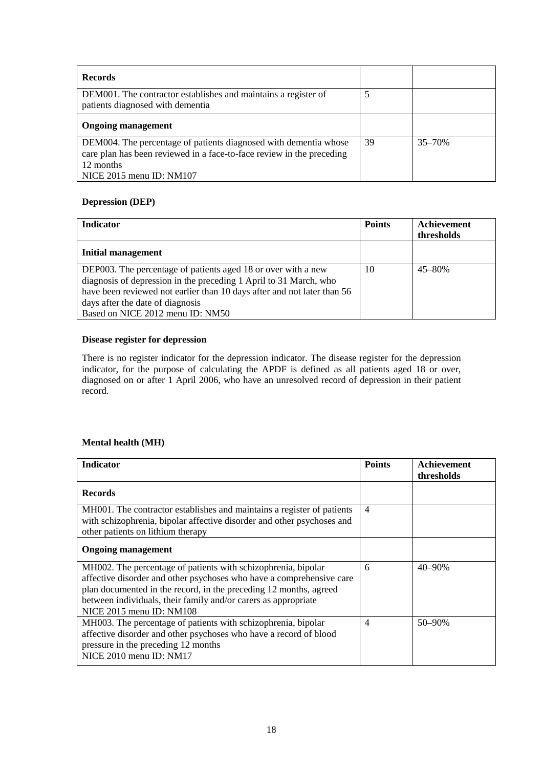| <b>Records</b>                                                                                                                                                                     |    |            |
|------------------------------------------------------------------------------------------------------------------------------------------------------------------------------------|----|------------|
| DEM001. The contractor establishes and maintains a register of<br>patients diagnosed with dementia                                                                                 |    |            |
| <b>Ongoing management</b>                                                                                                                                                          |    |            |
| DEM004. The percentage of patients diagnosed with dementia whose<br>care plan has been reviewed in a face-to-face review in the preceding<br>12 months<br>NICE 2015 menu ID: NM107 | 39 | $35 - 70%$ |

# **Depression (DEP)**

| <b>Indicator</b>                                                                                                                                                                                                                                                                      | <b>Points</b> | Achievement<br>thresholds |
|---------------------------------------------------------------------------------------------------------------------------------------------------------------------------------------------------------------------------------------------------------------------------------------|---------------|---------------------------|
| <b>Initial management</b>                                                                                                                                                                                                                                                             |               |                           |
| DEP003. The percentage of patients aged 18 or over with a new<br>diagnosis of depression in the preceding 1 April to 31 March, who<br>have been reviewed not earlier than 10 days after and not later than 56<br>days after the date of diagnosis<br>Based on NICE 2012 menu ID: NM50 | 10            | $45 - 80%$                |

## **Disease register for depression**

There is no register indicator for the depression indicator. The disease register for the depression indicator, for the purpose of calculating the APDF is defined as all patients aged 18 or over, diagnosed on or after 1 April 2006, who have an unresolved record of depression in their patient record.

## **Mental health (MH)**

| <b>Indicator</b>                                                                                                                                                                                                                                                                                         | <b>Points</b>  | Achievement<br>thresholds |
|----------------------------------------------------------------------------------------------------------------------------------------------------------------------------------------------------------------------------------------------------------------------------------------------------------|----------------|---------------------------|
| <b>Records</b>                                                                                                                                                                                                                                                                                           |                |                           |
| MH001. The contractor establishes and maintains a register of patients<br>with schizophrenia, bipolar affective disorder and other psychoses and<br>other patients on lithium therapy                                                                                                                    | $\overline{4}$ |                           |
| <b>Ongoing management</b>                                                                                                                                                                                                                                                                                |                |                           |
| MH002. The percentage of patients with schizophrenia, bipolar<br>affective disorder and other psychoses who have a comprehensive care<br>plan documented in the record, in the preceding 12 months, agreed<br>between individuals, their family and/or carers as appropriate<br>NICE 2015 menu ID: NM108 | 6              | $40 - 90\%$               |
| MH003. The percentage of patients with schizophrenia, bipolar<br>affective disorder and other psychoses who have a record of blood<br>pressure in the preceding 12 months<br>NICE 2010 menu ID: NM17                                                                                                     | $\overline{4}$ | $50 - 90%$                |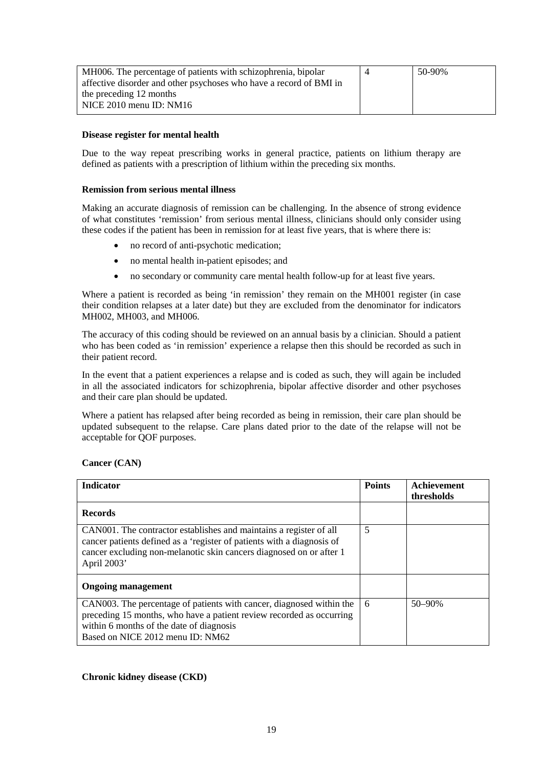| MH006. The percentage of patients with schizophrenia, bipolar      | 50-90% |
|--------------------------------------------------------------------|--------|
| affective disorder and other psychoses who have a record of BMI in |        |
| the preceding 12 months                                            |        |
| NICE $2010$ menu ID: NM $16$                                       |        |
|                                                                    |        |

### **Disease register for mental health**

Due to the way repeat prescribing works in general practice, patients on lithium therapy are defined as patients with a prescription of lithium within the preceding six months.

#### **Remission from serious mental illness**

Making an accurate diagnosis of remission can be challenging. In the absence of strong evidence of what constitutes 'remission' from serious mental illness, clinicians should only consider using these codes if the patient has been in remission for at least five years, that is where there is:

- no record of anti-psychotic medication;
- no mental health in-patient episodes; and
- no secondary or community care mental health follow-up for at least five years.

Where a patient is recorded as being 'in remission' they remain on the MH001 register (in case their condition relapses at a later date) but they are excluded from the denominator for indicators MH002, MH003, and MH006.

The accuracy of this coding should be reviewed on an annual basis by a clinician. Should a patient who has been coded as 'in remission' experience a relapse then this should be recorded as such in their patient record.

In the event that a patient experiences a relapse and is coded as such, they will again be included in all the associated indicators for schizophrenia, bipolar affective disorder and other psychoses and their care plan should be updated.

Where a patient has relapsed after being recorded as being in remission, their care plan should be updated subsequent to the relapse. Care plans dated prior to the date of the relapse will not be acceptable for QOF purposes.

**Cancer (CAN)**

| <b>Indicator</b>                                                                                                                                                                                                                   | <b>Points</b> | <b>Achievement</b><br>thresholds |
|------------------------------------------------------------------------------------------------------------------------------------------------------------------------------------------------------------------------------------|---------------|----------------------------------|
| <b>Records</b>                                                                                                                                                                                                                     |               |                                  |
| CANOO1. The contractor establishes and maintains a register of all<br>cancer patients defined as a 'register of patients with a diagnosis of<br>cancer excluding non-melanotic skin cancers diagnosed on or after 1<br>April 2003' | 5             |                                  |
| <b>Ongoing management</b>                                                                                                                                                                                                          |               |                                  |
| CAN003. The percentage of patients with cancer, diagnosed within the<br>preceding 15 months, who have a patient review recorded as occurring<br>within 6 months of the date of diagnosis<br>Based on NICE 2012 menu ID: NM62       | 6             | $50 - 90%$                       |

#### **Chronic kidney disease (CKD)**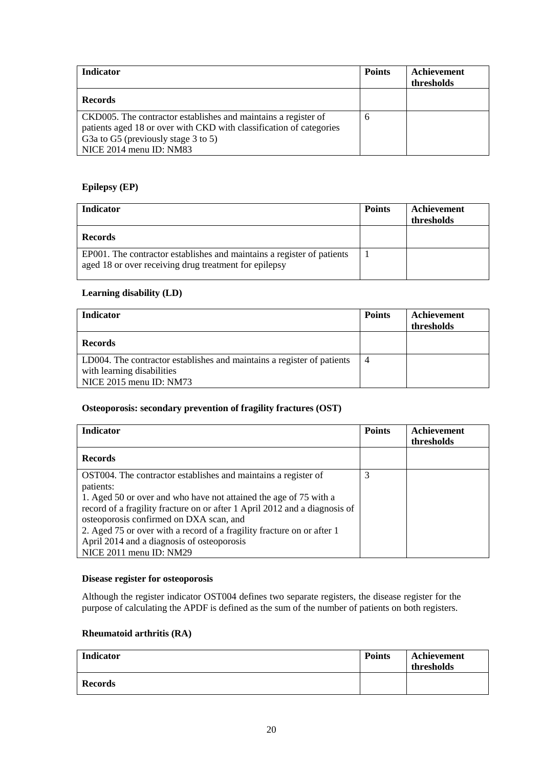| <b>Indicator</b>                                                                                                                                                                                                               | <b>Points</b> | Achievement<br>thresholds |
|--------------------------------------------------------------------------------------------------------------------------------------------------------------------------------------------------------------------------------|---------------|---------------------------|
| <b>Records</b>                                                                                                                                                                                                                 |               |                           |
| CKD005. The contractor establishes and maintains a register of<br>patients aged 18 or over with CKD with classification of categories<br>G <sub>3</sub> to G <sub>5</sub> (previously stage 3 to 5)<br>NICE 2014 menu ID: NM83 | 6             |                           |

# **Epilepsy (EP)**

| <b>Indicator</b>                                                                                                                | <b>Points</b> | Achievement<br>thresholds |
|---------------------------------------------------------------------------------------------------------------------------------|---------------|---------------------------|
| <b>Records</b>                                                                                                                  |               |                           |
| EP001. The contractor establishes and maintains a register of patients<br>aged 18 or over receiving drug treatment for epilepsy |               |                           |

# **Learning disability (LD)**

| Indicator                                                              | <b>Points</b>  | Achievement<br>thresholds |
|------------------------------------------------------------------------|----------------|---------------------------|
| <b>Records</b>                                                         |                |                           |
| LD004. The contractor establishes and maintains a register of patients | $\overline{4}$ |                           |
| with learning disabilities<br>NICE 2015 menu ID: NM73                  |                |                           |

# **Osteoporosis: secondary prevention of fragility fractures (OST)**

| <b>Indicator</b>                                                           | <b>Points</b> | Achievement |
|----------------------------------------------------------------------------|---------------|-------------|
|                                                                            |               | thresholds  |
| <b>Records</b>                                                             |               |             |
| OST004. The contractor establishes and maintains a register of             |               |             |
| patients:                                                                  |               |             |
| 1. Aged 50 or over and who have not attained the age of 75 with a          |               |             |
| record of a fragility fracture on or after 1 April 2012 and a diagnosis of |               |             |
| osteoporosis confirmed on DXA scan, and                                    |               |             |
| 2. Aged 75 or over with a record of a fragility fracture on or after 1     |               |             |
| April 2014 and a diagnosis of osteoporosis                                 |               |             |
| NICE 2011 menu ID: NM29                                                    |               |             |

## **Disease register for osteoporosis**

Although the register indicator OST004 defines two separate registers, the disease register for the purpose of calculating the APDF is defined as the sum of the number of patients on both registers.

## **Rheumatoid arthritis (RA)**

| <b>Indicator</b> | <b>Points</b> | Achievement<br>thresholds |
|------------------|---------------|---------------------------|
| <b>Records</b>   |               |                           |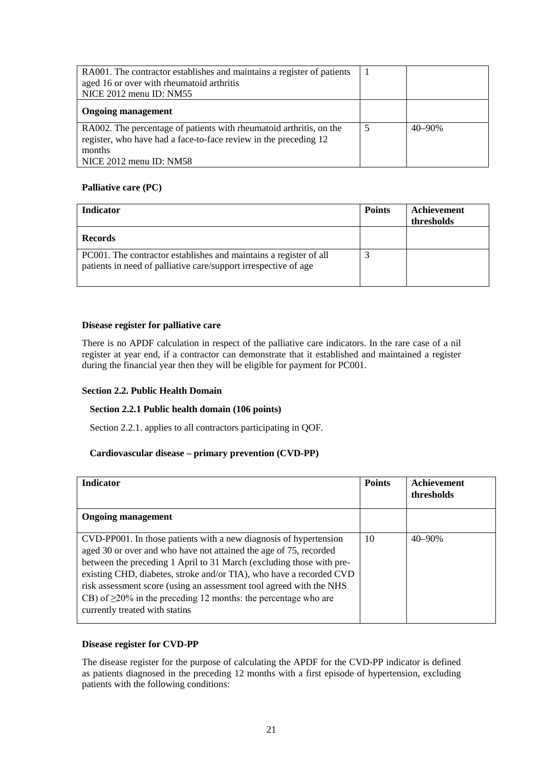| RA001. The contractor establishes and maintains a register of patients<br>aged 16 or over with rheumatoid arthritis<br>NICE 2012 menu ID: NM55                                 |   |            |
|--------------------------------------------------------------------------------------------------------------------------------------------------------------------------------|---|------------|
| <b>Ongoing management</b>                                                                                                                                                      |   |            |
| RA002. The percentage of patients with rheumatoid arthritis, on the<br>register, who have had a face-to-face review in the preceding 12<br>months<br>NICE $2012$ menu ID: NM58 | 5 | $40 - 90%$ |

## **Palliative care (PC)**

| <b>Indicator</b>                                                                                                                     | <b>Points</b> | Achievement<br>thresholds |
|--------------------------------------------------------------------------------------------------------------------------------------|---------------|---------------------------|
| <b>Records</b>                                                                                                                       |               |                           |
| PC001. The contractor establishes and maintains a register of all<br>patients in need of palliative care/support irrespective of age |               |                           |

## **Disease register for palliative care**

There is no APDF calculation in respect of the palliative care indicators. In the rare case of a nil register at year end, if a contractor can demonstrate that it established and maintained a register during the financial year then they will be eligible for payment for PC001.

## **Section 2.2. Public Health Domain**

## **Section 2.2.1 Public health domain (106 points)**

Section 2.2.1. applies to all contractors participating in QOF.

#### **Cardiovascular disease – primary prevention (CVD-PP)**

| <b>Indicator</b>                                                                                                                                                                                                                                                                                                                                                                                                                                                       | <b>Points</b> | Achievement<br>thresholds |
|------------------------------------------------------------------------------------------------------------------------------------------------------------------------------------------------------------------------------------------------------------------------------------------------------------------------------------------------------------------------------------------------------------------------------------------------------------------------|---------------|---------------------------|
| <b>Ongoing management</b>                                                                                                                                                                                                                                                                                                                                                                                                                                              |               |                           |
| CVD-PP001. In those patients with a new diagnosis of hypertension<br>aged 30 or over and who have not attained the age of 75, recorded<br>between the preceding 1 April to 31 March (excluding those with pre-<br>existing CHD, diabetes, stroke and/or TIA), who have a recorded CVD<br>risk assessment score (using an assessment tool agreed with the NHS<br>CB) of $\geq$ 20% in the preceding 12 months: the percentage who are<br>currently treated with statins | 10            | $40 - 90%$                |

## **Disease register for CVD-PP**

The disease register for the purpose of calculating the APDF for the CVD-PP indicator is defined as patients diagnosed in the preceding 12 months with a first episode of hypertension, excluding patients with the following conditions: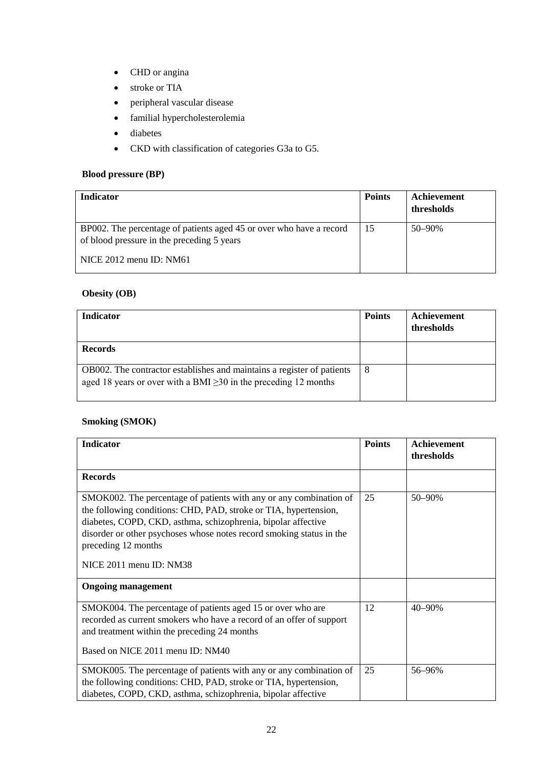- CHD or angina
- stroke or TIA
- peripheral vascular disease
- familial hypercholesterolemia
- diabetes
- CKD with classification of categories G3a to G5.

# **Blood pressure (BP)**

| <b>Indicator</b>                                                                                                  | <b>Points</b> | Achievement<br>thresholds |
|-------------------------------------------------------------------------------------------------------------------|---------------|---------------------------|
| BP002. The percentage of patients aged 45 or over who have a record<br>of blood pressure in the preceding 5 years | 15            | $50 - 90\%$               |
| NICE $2012$ menu ID: NM $61$                                                                                      |               |                           |

# **Obesity (OB)**

| <b>Indicator</b>                                                                                                                                | <b>Points</b> | Achievement<br>thresholds |
|-------------------------------------------------------------------------------------------------------------------------------------------------|---------------|---------------------------|
| <b>Records</b>                                                                                                                                  |               |                           |
| OB002. The contractor establishes and maintains a register of patients<br>aged 18 years or over with a BMI $\geq$ 30 in the preceding 12 months | -8            |                           |

# **Smoking (SMOK)**

| <b>Indicator</b>                                                                                                                                                                                                                                                                                                                  | <b>Points</b> | <b>Achievement</b><br>thresholds |
|-----------------------------------------------------------------------------------------------------------------------------------------------------------------------------------------------------------------------------------------------------------------------------------------------------------------------------------|---------------|----------------------------------|
| <b>Records</b>                                                                                                                                                                                                                                                                                                                    |               |                                  |
| SMOK002. The percentage of patients with any or any combination of<br>the following conditions: CHD, PAD, stroke or TIA, hypertension,<br>diabetes, COPD, CKD, asthma, schizophrenia, bipolar affective<br>disorder or other psychoses whose notes record smoking status in the<br>preceding 12 months<br>NICE 2011 menu ID: NM38 | 25            | 50-90%                           |
| <b>Ongoing management</b>                                                                                                                                                                                                                                                                                                         |               |                                  |
| SMOK004. The percentage of patients aged 15 or over who are<br>recorded as current smokers who have a record of an offer of support<br>and treatment within the preceding 24 months<br>Based on NICE 2011 menu ID: NM40                                                                                                           | 12            | 40-90%                           |
| SMOK005. The percentage of patients with any or any combination of<br>the following conditions: CHD, PAD, stroke or TIA, hypertension,<br>diabetes, COPD, CKD, asthma, schizophrenia, bipolar affective                                                                                                                           | 25            | 56-96%                           |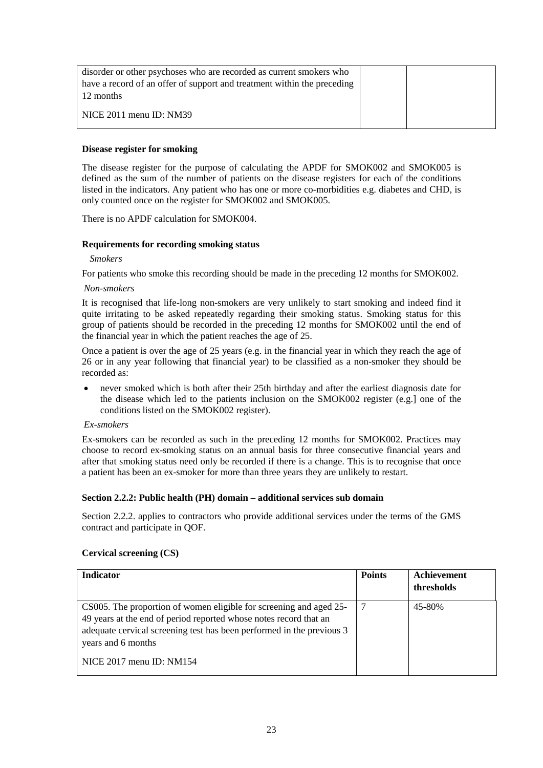| disorder or other psychoses who are recorded as current smokers who<br>have a record of an offer of support and treatment within the preceding<br>12 months |  |
|-------------------------------------------------------------------------------------------------------------------------------------------------------------|--|
| $\vert$ NICE 2011 menu ID: NM39                                                                                                                             |  |

## **Disease register for smoking**

The disease register for the purpose of calculating the APDF for SMOK002 and SMOK005 is defined as the sum of the number of patients on the disease registers for each of the conditions listed in the indicators. Any patient who has one or more co-morbidities e.g. diabetes and CHD, is only counted once on the register for SMOK002 and SMOK005.

There is no APDF calculation for SMOK004.

### **Requirements for recording smoking status**

*Smokers*

For patients who smoke this recording should be made in the preceding 12 months for SMOK002.

#### *Non-smokers*

It is recognised that life-long non-smokers are very unlikely to start smoking and indeed find it quite irritating to be asked repeatedly regarding their smoking status. Smoking status for this group of patients should be recorded in the preceding 12 months for SMOK002 until the end of the financial year in which the patient reaches the age of 25.

Once a patient is over the age of 25 years (e.g. in the financial year in which they reach the age of 26 or in any year following that financial year) to be classified as a non-smoker they should be recorded as:

• never smoked which is both after their 25th birthday and after the earliest diagnosis date for the disease which led to the patients inclusion on the SMOK002 register (e.g.] one of the conditions listed on the SMOK002 register).

## *Ex-smokers*

Ex-smokers can be recorded as such in the preceding 12 months for SMOK002. Practices may choose to record ex-smoking status on an annual basis for three consecutive financial years and after that smoking status need only be recorded if there is a change. This is to recognise that once a patient has been an ex-smoker for more than three years they are unlikely to restart.

## **Section 2.2.2: Public health (PH) domain – additional services sub domain**

Section 2.2.2. applies to contractors who provide additional services under the terms of the GMS contract and participate in QOF.

## **Cervical screening (CS)**

| <b>Indicator</b>                                                                                                                                                                                                                       | <b>Points</b> | Achievement<br>thresholds |
|----------------------------------------------------------------------------------------------------------------------------------------------------------------------------------------------------------------------------------------|---------------|---------------------------|
| CS005. The proportion of women eligible for screening and aged 25-<br>49 years at the end of period reported whose notes record that an<br>adequate cervical screening test has been performed in the previous 3<br>years and 6 months |               | 45-80%                    |
| NICE $2017$ menu ID: NM154                                                                                                                                                                                                             |               |                           |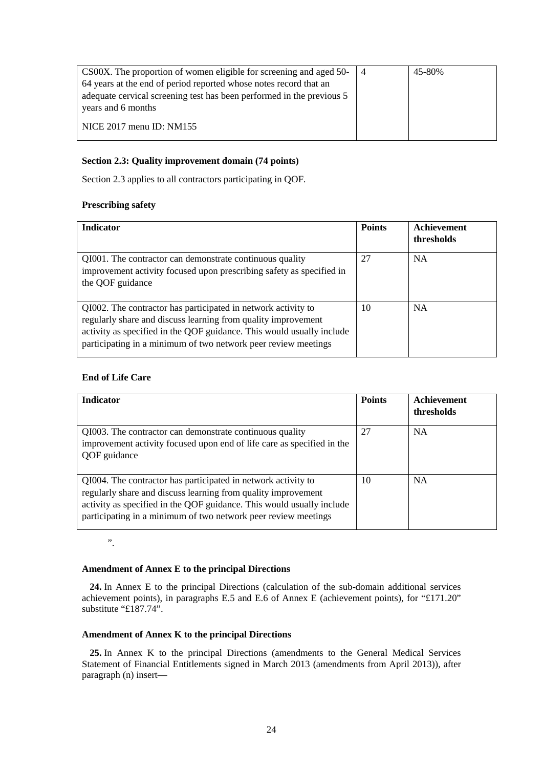| CS00X. The proportion of women eligible for screening and aged 50-    | 45-80% |
|-----------------------------------------------------------------------|--------|
| 64 years at the end of period reported whose notes record that an     |        |
| adequate cervical screening test has been performed in the previous 5 |        |
| years and 6 months                                                    |        |
|                                                                       |        |
| NICE $2017$ menu ID: NM $155$                                         |        |
|                                                                       |        |

## **Section 2.3: Quality improvement domain (74 points)**

Section 2.3 applies to all contractors participating in QOF.

## **Prescribing safety**

| <b>Indicator</b>                                                                                                                                                                                                                                                          | <b>Points</b> | Achievement<br>thresholds |
|---------------------------------------------------------------------------------------------------------------------------------------------------------------------------------------------------------------------------------------------------------------------------|---------------|---------------------------|
| QI001. The contractor can demonstrate continuous quality<br>improvement activity focused upon prescribing safety as specified in<br>the QOF guidance                                                                                                                      | 27            | <b>NA</b>                 |
| QI002. The contractor has participated in network activity to<br>regularly share and discuss learning from quality improvement<br>activity as specified in the QOF guidance. This would usually include<br>participating in a minimum of two network peer review meetings | 10            | <b>NA</b>                 |

## **End of Life Care**

| <b>Indicator</b>                                                                                                                                                                                                                                                          | <b>Points</b> | Achievement<br>thresholds |
|---------------------------------------------------------------------------------------------------------------------------------------------------------------------------------------------------------------------------------------------------------------------------|---------------|---------------------------|
| QI003. The contractor can demonstrate continuous quality<br>improvement activity focused upon end of life care as specified in the<br>QOF guidance                                                                                                                        | 27            | <b>NA</b>                 |
| QI004. The contractor has participated in network activity to<br>regularly share and discuss learning from quality improvement<br>activity as specified in the QOF guidance. This would usually include<br>participating in a minimum of two network peer review meetings | 10            | <b>NA</b>                 |

".

## **Amendment of Annex E to the principal Directions**

**24.** In Annex E to the principal Directions (calculation of the sub-domain additional services achievement points), in paragraphs E.5 and E.6 of Annex E (achievement points), for "£171.20" substitute "£187.74".

## **Amendment of Annex K to the principal Directions**

**25.** In Annex K to the principal Directions (amendments to the General Medical Services Statement of Financial Entitlements signed in March 2013 (amendments from April 2013)), after paragraph (n) insert—